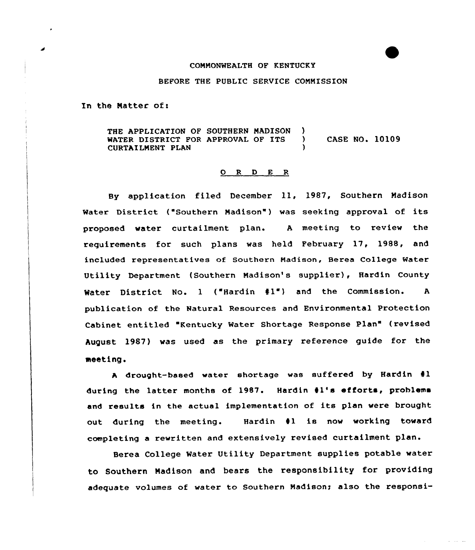## COMMONWEALTH OF KENTUCKY

## BEFORE THE PUBLIC SERVICE COMMISSION

In the Matter of:

THE APPLICATION OF SOUTHERN MADISON )<br>WATER DISTRICT FOR APPROVAL OF ITS ) WATER DISTRICT FOR APPROVAL OF ITS ) CASE NO. 10109 CURTAILMENT PLAN

## $\begin{array}{ccccccccc}\nO & R & D & E & R\n\end{array}$

By application filed December ll, 1987, Southern Madison Water District ("Southern Madison") was seeking approval of its proposed water curtailment plan. <sup>A</sup> meeting to review the requirements for such plans was held February 17, 1988, and included representatives of Southern Madison, Berea College Water Utility Department (Southern Madison's supplier), Hardin County Water District No. 1 ("Hardin #1") and the Commission. A publication of the Natural Resources and Environmental Protection Cabinet entitled "Kentucky Water Shortage Response Plan" (revised August 1987) vas used as the primary reference guide for the meeting.

A drought-based water shortage was suffered by Hardin #1 during the latter months of 1987. Hardin 41's efforts, problems and results in the actual implementation of its plan vere brought out during the meeting. Hardin 41 is now working toward completing a rewritten and extensively revised curtailment plan.

Berea College Water Utility Department supplies potable water to Southern Madison and bears the responsibility for providing adequate volumes of water to Southern Madison; also the responsi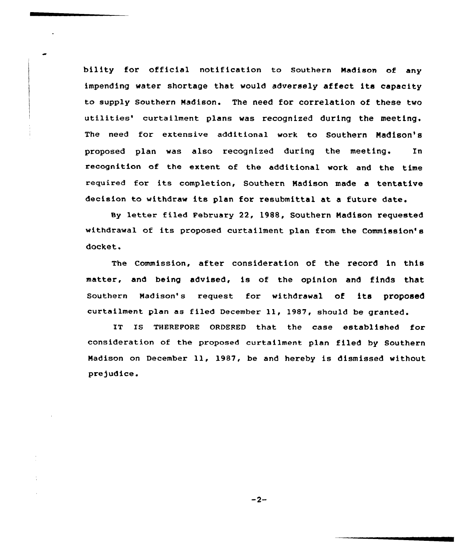bility for official notification to southern Madison of any impending water shortage that would adversely affect its capacity to supply Southern Madison. The need for correlation of these two utilities' curtailment plans was recognized during the meeting. The need for extensive additional work to Southern Madison's proposed plan was also recognized during the meeting. In recognition of the extent of the additional work and the time required for its completion, Southern Madison made a tentative decision to withdraw its plan for resubmittal at <sup>a</sup> future date.

Sy letter filed February 22, 1988, Southern Madison requested withdrawal of its proposed curtailment plan from the Commission's docket.

The Commission, after consideration of the record in this matter, and being advised, is of the opinion and finds that Southern Madison's request for withdrawal of its proposed curtailment plan as filed December ll, 1987, should be granted.

IT IS THEREFORE ORDERED that the case established for consideration of the proposed curtailment plan filed by Southern Madison on December ll, 1987, be and hereby is dismissed without prejudice.

 $-2-$